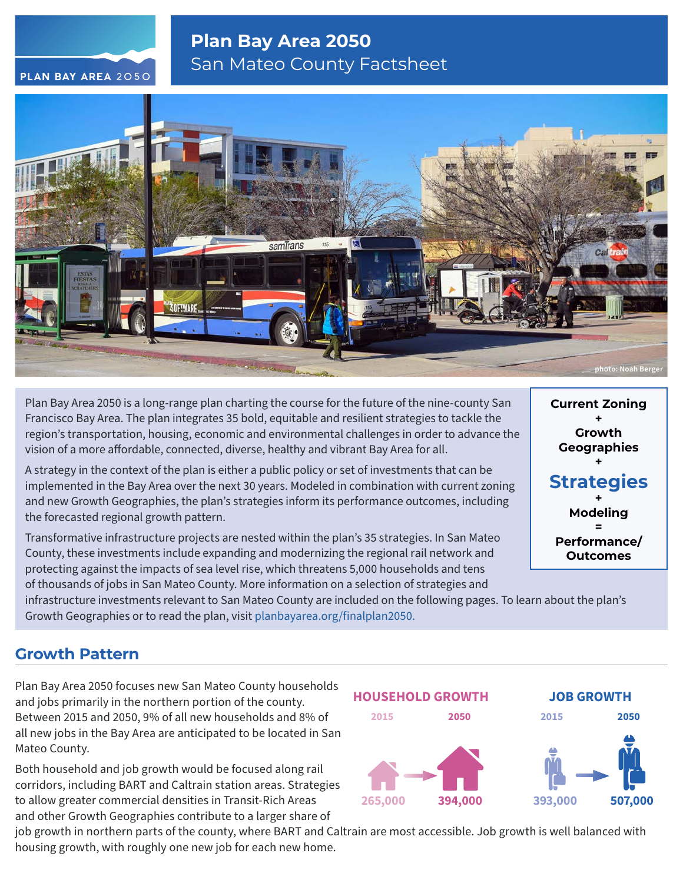### **Plan Bay Area 2050** San Mateo County Factsheet



Plan Bay Area 2050 is a long-range plan charting the course for the future of the nine-county San Francisco Bay Area. The plan integrates 35 bold, equitable and resilient strategies to tackle the region's transportation, housing, economic and environmental challenges in order to advance the vision of a more affordable, connected, diverse, healthy and vibrant Bay Area for all.

A strategy in the context of the plan is either a public policy or set of investments that can be implemented in the Bay Area over the next 30 years. Modeled in combination with current zoning and new Growth Geographies, the plan's strategies inform its performance outcomes, including the forecasted regional growth pattern.

Transformative infrastructure projects are nested within the plan's 35 strategies. In San Mateo County, these investments include expanding and modernizing the regional rail network and protecting against the impacts of sea level rise, which threatens 5,000 households and tens of thousands of jobs in San Mateo County. More information on a selection of strategies and

**Current Zoning + Growth Geographies + Strategies + Modeling = Performance/ Outcomes**

infrastructure investments relevant to San Mateo County are included on the following pages. To learn about the plan's Growth Geographies or to read the plan, visit [planbayarea.org/finalplan2050.](https://www.planbayarea.org/finalplan2050)

### **Growth Pattern**

Plan Bay Area 2050 focuses new San Mateo County households and jobs primarily in the northern portion of the county. Between 2015 and 2050, 9% of all new households and 8% of all new jobs in the Bay Area are anticipated to be located in San Mateo County.

Both household and job growth would be focused along rail corridors, including BART and Caltrain station areas. Strategies to allow greater commercial densities in Transit-Rich Areas and other Growth Geographies contribute to a larger share of

job growth in northern parts of the county, where BART and Caltrain are most accessible. Job growth is well balanced with housing growth, with roughly one new job for each new home.

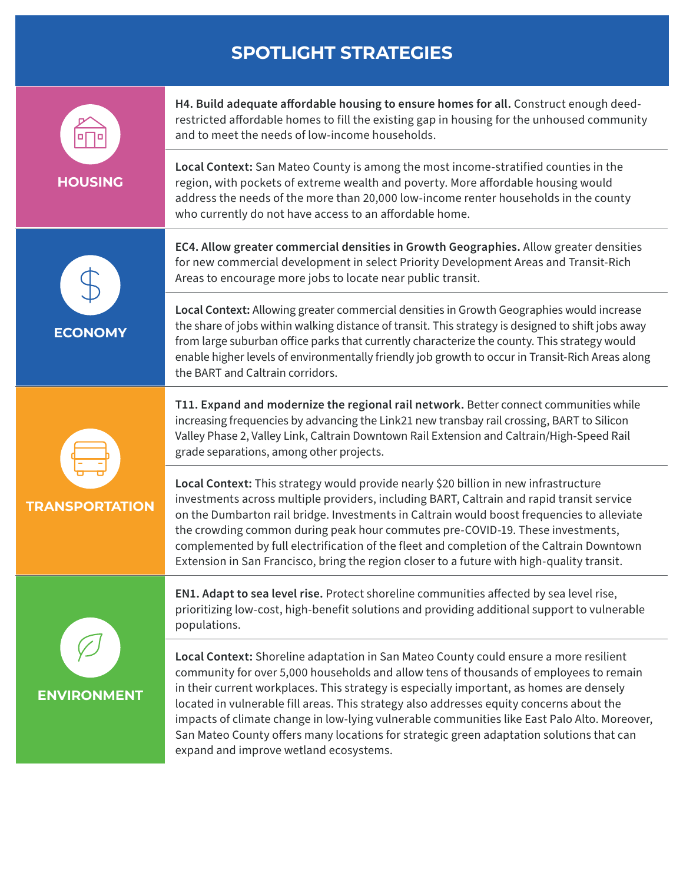# **SPOTLIGHT STRATEGIES**